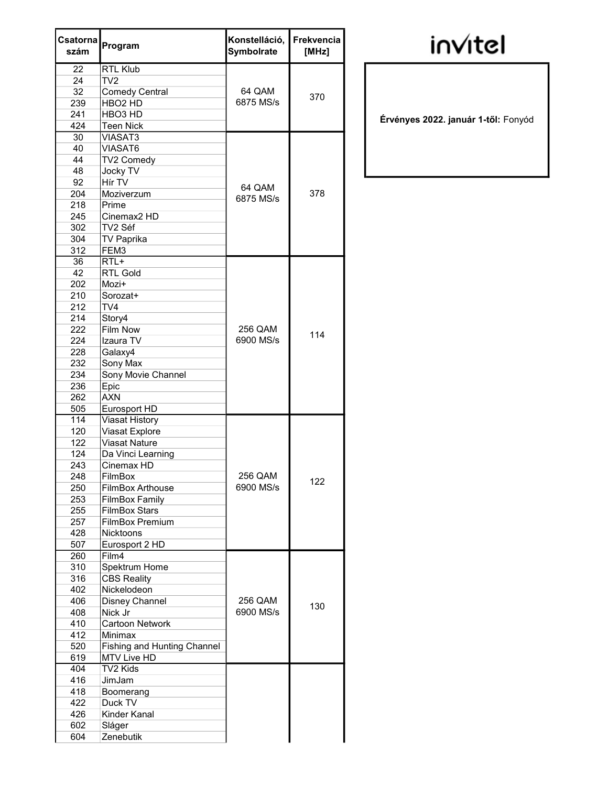| Csatorna<br>szám | Program                            | Konstelláció,<br><b>Symbolrate</b> | Frekvencia<br>[MHz] |
|------------------|------------------------------------|------------------------------------|---------------------|
| 22               | <b>RTL Klub</b>                    |                                    |                     |
| 24               | TV2                                |                                    |                     |
| 32               | <b>Comedy Central</b>              | 64 QAM                             |                     |
| 239              | HBO <sub>2</sub> HD                | 6875 MS/s                          | 370                 |
| 241              | HBO <sub>3</sub> HD                |                                    |                     |
| 424              | <b>Teen Nick</b>                   |                                    |                     |
| 30               | <b>VIASAT3</b>                     |                                    |                     |
| 40               | <b>VIASAT6</b>                     |                                    |                     |
| 44               | TV2 Comedy                         |                                    |                     |
| 48               | Jocky TV                           |                                    |                     |
| 92               | Hír TV                             | 64 QAM                             |                     |
| 204              | Moziverzum                         | 6875 MS/s                          | 378                 |
| 218              | Prime                              |                                    |                     |
| 245              | Cinemax <sub>2</sub> HD            |                                    |                     |
| 302              | TV2 Séf                            |                                    |                     |
| 304              | <b>TV Paprika</b>                  |                                    |                     |
| 312              | FEM3                               |                                    |                     |
| 36               | $RTL+$                             |                                    |                     |
| 42               | <b>RTL Gold</b>                    |                                    |                     |
| 202              | Mozi+                              |                                    |                     |
| 210              | Sorozat+                           |                                    |                     |
| 212              | TV <sub>4</sub>                    |                                    |                     |
| 214              | Story4                             |                                    |                     |
| 222              | Film Now                           | 256 QAM                            |                     |
| 224              | Izaura TV                          | 6900 MS/s                          | 114                 |
| 228              | Galaxy4                            |                                    |                     |
| 232              | Sony Max                           |                                    |                     |
| 234              | Sony Movie Channel                 |                                    |                     |
| 236              | Epic                               |                                    |                     |
| 262              | <b>AXN</b>                         |                                    |                     |
| 505              | Eurosport HD                       |                                    |                     |
| 114              | <b>Viasat History</b>              |                                    |                     |
| 120              | Viasat Explore                     |                                    |                     |
| 122              | <b>Viasat Nature</b>               |                                    |                     |
| 124              | Da Vinci Learning                  |                                    |                     |
| 243              | Cinemax HD                         |                                    |                     |
| 248              | <b>FilmBox</b>                     | 256 QAM                            |                     |
| 250              | <b>FilmBox Arthouse</b>            | 6900 MS/s                          | 122                 |
| 253              | <b>FilmBox Family</b>              |                                    |                     |
| 255              | <b>FilmBox Stars</b>               |                                    |                     |
| 257              | <b>FilmBox Premium</b>             |                                    |                     |
| 428              | <b>Nicktoons</b>                   |                                    |                     |
| 507              | Eurosport 2 HD                     |                                    |                     |
| 260              | Film4                              |                                    |                     |
| 310              | Spektrum Home                      |                                    |                     |
| 316              | <b>CBS Reality</b>                 |                                    |                     |
| 402              | Nickelodeon                        |                                    |                     |
| 406              | Disney Channel                     | 256 QAM                            |                     |
| 408              | Nick Jr                            | 6900 MS/s                          | 130                 |
| 410              | <b>Cartoon Network</b>             |                                    |                     |
| 412              | Minimax                            |                                    |                     |
| 520              | <b>Fishing and Hunting Channel</b> |                                    |                     |
| 619              | MTV Live HD                        |                                    |                     |
| 404              | TV2 Kids                           |                                    |                     |
| 416              | JimJam                             |                                    |                     |
| 418              | Boomerang                          |                                    |                     |
| 422              | Duck TV                            |                                    |                     |
| 426              | Kinder Kanal                       |                                    |                     |
| 602              | Sláger                             |                                    |                     |
| 604              | Zenebutik                          |                                    |                     |
|                  |                                    |                                    |                     |

## **invitel**

Érvényes 2022. január 1-től: Fonyód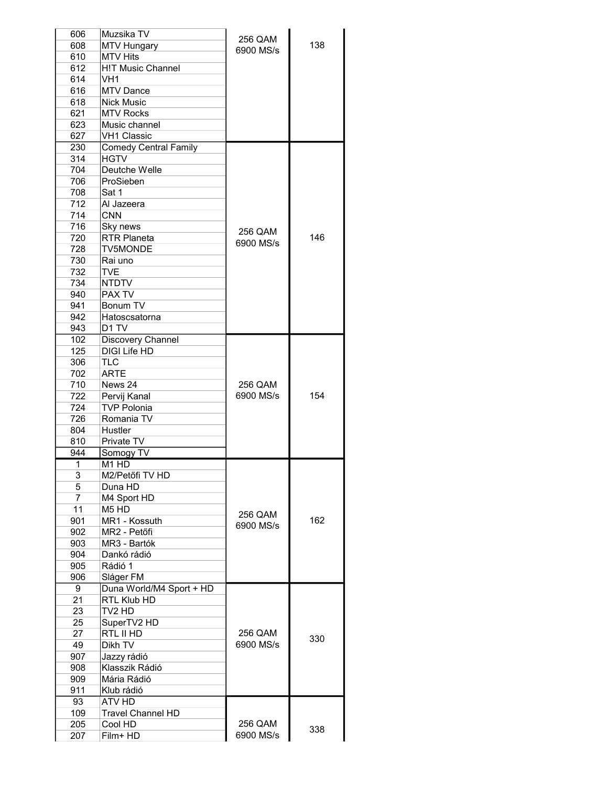| 606            | Muzsika TV                    |           |     |
|----------------|-------------------------------|-----------|-----|
| 608            | <b>MTV Hungary</b>            | 256 QAM   | 138 |
| 610            | <b>MTV Hits</b>               | 6900 MS/s |     |
| 612            | <b>H!T Music Channel</b>      |           |     |
| 614            | VH <sub>1</sub>               |           |     |
| 616            | <b>MTV Dance</b>              |           |     |
|                |                               |           |     |
| 618            | <b>Nick Music</b>             |           |     |
| 621            | <b>MTV Rocks</b>              |           |     |
| 623            | Music channel                 |           |     |
| 627            | <b>VH1 Classic</b>            |           |     |
| 230            | <b>Comedy Central Family</b>  |           |     |
| 314            | <b>HGTV</b>                   |           |     |
| 704            | Deutche Welle                 |           |     |
| 706            | ProSieben                     |           |     |
| 708            | Sat 1                         |           |     |
| 712            | Al Jazeera                    |           |     |
| 714            | <b>CNN</b>                    |           |     |
| 716            | Sky news                      |           |     |
| 720            | <b>RTR Planeta</b>            | 256 QAM   | 146 |
| 728            | <b>TV5MONDE</b>               | 6900 MS/s |     |
|                |                               |           |     |
| 730            | Rai uno                       |           |     |
| 732            | <b>TVE</b>                    |           |     |
| 734            | <b>NTDTV</b>                  |           |     |
| 940            | PAX TV                        |           |     |
| 941            | Bonum TV                      |           |     |
| 942            | Hatoscsatorna                 |           |     |
| 943            | D1 TV                         |           |     |
| 102            | Discovery Channel             |           |     |
| 125            | <b>DIGI Life HD</b>           |           |     |
| 306            | <b>TLC</b>                    |           |     |
| 702            | <b>ARTE</b>                   |           |     |
| 710            | News 24                       | 256 QAM   |     |
| 722            | Pervij Kanal                  | 6900 MS/s | 154 |
|                | <b>TVP Polonia</b>            |           |     |
| 724            |                               |           |     |
| 726            | Romania TV                    |           |     |
| 804            | Hustler                       |           |     |
| 810            | Private TV                    |           |     |
| 944            | Somogy TV                     |           |     |
| 1              | M <sub>1</sub> H <sub>D</sub> |           |     |
| 3              | M2/Petőfi TV HD               |           |     |
| 5              | Duna HD                       |           |     |
| $\overline{7}$ | M4 Sport HD                   |           |     |
| 11             | M <sub>5</sub> H <sub>D</sub> |           |     |
| 901            | MR1 - Kossuth                 | 256 QAM   | 162 |
| 902            | MR2 - Petőfi                  | 6900 MS/s |     |
| 903            | MR3 - Bartók                  |           |     |
| 904            | Dankó rádió                   |           |     |
| 905            | Rádió 1                       |           |     |
| 906            | Sláger FM                     |           |     |
| 9              | Duna World/M4 Sport + HD      |           |     |
|                |                               |           |     |
| 21             | RTL Klub HD                   |           |     |
| 23             | TV <sub>2</sub> HD            |           |     |
| 25             | SuperTV2 HD                   |           |     |
| 27             | RTL II HD                     | 256 QAM   | 330 |
| 49             | Dikh TV                       | 6900 MS/s |     |
| 907            | Jazzy rádió                   |           |     |
| 908            | Klasszik Rádió                |           |     |
| 909            | Mária Rádió                   |           |     |
| 911            | Klub rádió                    |           |     |
| 93             | ATV HD                        |           |     |
| 109            | <b>Travel Channel HD</b>      |           |     |
| 205            | Cool HD                       | 256 QAM   |     |
| 207            | Film+ HD                      | 6900 MS/s | 338 |
|                |                               |           |     |